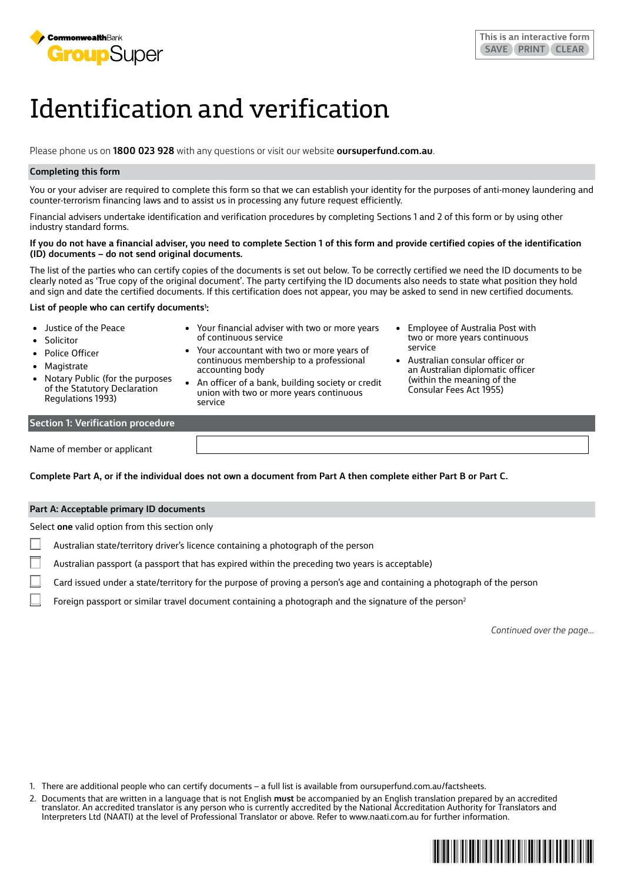

# Identification and verification

Please phone us on **1800 023 928** with any questions or visit our website **oursuperfund.com.au**.

# **Completing this form**

You or your adviser are required to complete this form so that we can establish your identity for the purposes of anti-money laundering and counter-terrorism financing laws and to assist us in processing any future request efficiently.

Financial advisers undertake identification and verification procedures by completing Sections 1 and 2 of this form or by using other industry standard forms.

#### **If you do not have a financial adviser, you need to complete Section 1 of this form and provide certified copies of the identification (ID) documents – do not send original documents.**

The list of the parties who can certify copies of the documents is set out below. To be correctly certified we need the ID documents to be clearly noted as 'True copy of the original document'. The party certifying the ID documents also needs to state what position they hold and sign and date the certified documents. If this certification does not appear, you may be asked to send in new certified documents.

### **List of people who can certify documents1 :**

| • Justice of the Peace<br>• Solicitor<br>• Police Officer<br>• Magistrate<br>• Notary Public (for the purposes<br>of the Statutory Declaration<br><b>Regulations 1993)</b> | • Your financial adviser with two or more years<br>of continuous service<br>• Your accountant with two or more years of<br>continuous membership to a professional<br>accounting body<br>• An officer of a bank, building society or credit<br>union with two or more years continuous<br>service | • Employee of Australia Post with<br>two or more years continuous<br>service<br>• Australian consular officer or<br>an Australian diplomatic officer<br>(within the meaning of the<br>Consular Fees Act 1955) |
|----------------------------------------------------------------------------------------------------------------------------------------------------------------------------|---------------------------------------------------------------------------------------------------------------------------------------------------------------------------------------------------------------------------------------------------------------------------------------------------|---------------------------------------------------------------------------------------------------------------------------------------------------------------------------------------------------------------|
| <b>Section 1: Verification procedure</b>                                                                                                                                   |                                                                                                                                                                                                                                                                                                   |                                                                                                                                                                                                               |
|                                                                                                                                                                            |                                                                                                                                                                                                                                                                                                   |                                                                                                                                                                                                               |

Name of member or applicant

**Complete Part A, or if the individual does not own a document from Part A then complete either Part B or Part C.**

# **Part A: Acceptable primary ID documents**

Select **one** valid option from this section only

- Australian state/territory driver's licence containing a photograph of the person
- Australian passport (a passport that has expired within the preceding two years is acceptable)
- Card issued under a state/territory for the purpose of proving a person's age and containing a photograph of the person
- Foreign passport or similar travel document containing a photograph and the signature of the person<sup>2</sup>

*Continued over the page…*

- 1. There are additional people who can certify documents a full list is available from oursuperfund.com.au/factsheets.
- 2. Documents that are written in a language that is not English **must** be accompanied by an English translation prepared by an accredited translator. An accredited translator is any person who is currently accredited by the National Accreditation Authority for Translators and Interpreters Ltd (NAATI) at the level of Professional Translator or above. Refer to www.naati.com.au for further information.